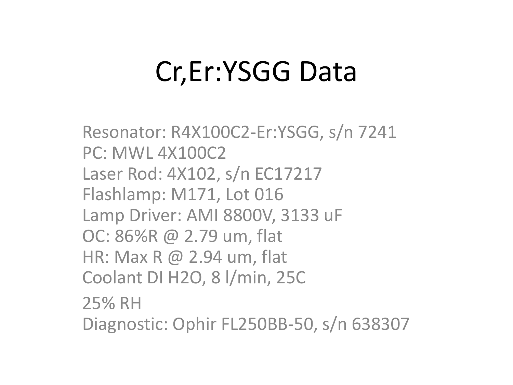# Cr,Er:YSGG Data

Resonator: R4X100C2-Er:YSGG, s/n 7241 PC: MWL 4X100C2 Laser Rod: 4X102, s/n EC17217 Flashlamp: M171, Lot 016 Lamp Driver: AMI 8800V, 3133 uF OC: 86%R @ 2.79 um, flat HR: Max R @ 2.94 um, flat Coolant DI H2O, 8 l/min, 25C 25% RH Diagnostic: Ophir FL250BB-50, s/n 638307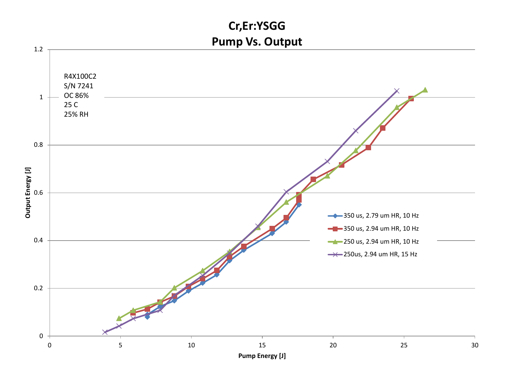### **Cr,Er:YSGG Pump Vs. Output**

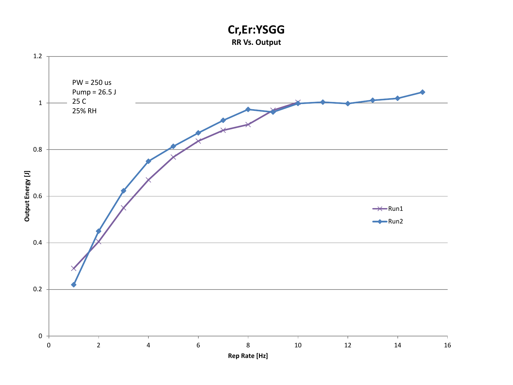#### **Cr,Er:YSGG RR Vs. Output**

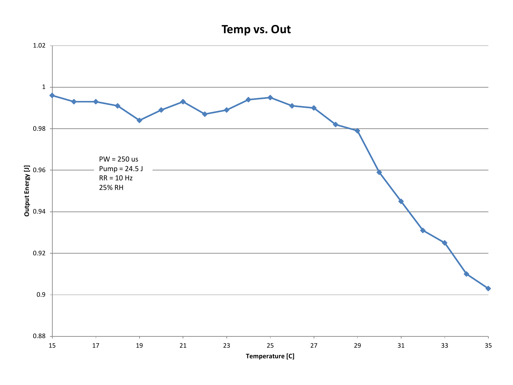## **Temp vs. Out**

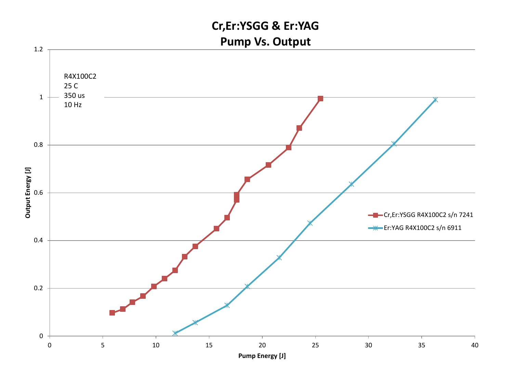## **Cr,Er:YSGG & Er:YAG Pump Vs. Output**

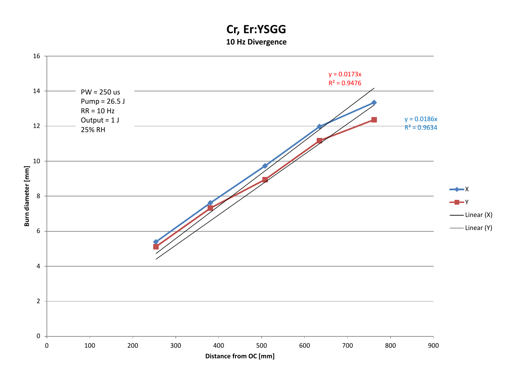#### **Cr, Er:YSGG 10 Hz Divergence**